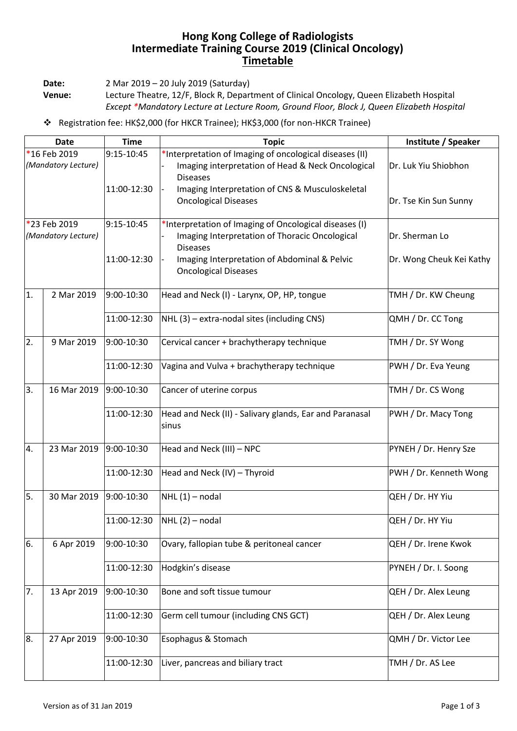## **Hong Kong College of Radiologists Intermediate Training Course 2019 (Clinical Oncology) Timetable**

**Date:** 2 Mar 2019 – 20 July 2019 (Saturday)

**Venue:** Lecture Theatre, 12/F, Block R, Department of Clinical Oncology, Queen Elizabeth Hospital *Except \*Mandatory Lecture at Lecture Room, Ground Floor, Block J, Queen Elizabeth Hospital*

Registration fee: HK\$2,000 (for HKCR Trainee); HK\$3,000 (for non-HKCR Trainee)

| <b>Date</b>                         |             | <b>Time</b> | <b>Topic</b>                                                                                                                    | Institute / Speaker      |
|-------------------------------------|-------------|-------------|---------------------------------------------------------------------------------------------------------------------------------|--------------------------|
| *16 Feb 2019<br>(Mandatory Lecture) |             | 9:15-10:45  | *Interpretation of Imaging of oncological diseases (II)<br>Imaging interpretation of Head & Neck Oncological<br><b>Diseases</b> | Dr. Luk Yiu Shiobhon     |
|                                     |             | 11:00-12:30 | Imaging Interpretation of CNS & Musculoskeletal<br><b>Oncological Diseases</b>                                                  | Dr. Tse Kin Sun Sunny    |
| *23 Feb 2019<br>(Mandatory Lecture) |             | 9:15-10:45  | *Interpretation of Imaging of Oncological diseases (I)<br>Imaging Interpretation of Thoracic Oncological<br><b>Diseases</b>     | Dr. Sherman Lo           |
|                                     |             | 11:00-12:30 | Imaging Interpretation of Abdominal & Pelvic<br><b>Oncological Diseases</b>                                                     | Dr. Wong Cheuk Kei Kathy |
| 1.                                  | 2 Mar 2019  | 9:00-10:30  | Head and Neck (I) - Larynx, OP, HP, tongue                                                                                      | TMH / Dr. KW Cheung      |
|                                     |             | 11:00-12:30 | NHL (3) - extra-nodal sites (including CNS)                                                                                     | QMH / Dr. CC Tong        |
| 2.                                  | 9 Mar 2019  | 9:00-10:30  | Cervical cancer + brachytherapy technique                                                                                       | TMH / Dr. SY Wong        |
|                                     |             | 11:00-12:30 | Vagina and Vulva + brachytherapy technique                                                                                      | PWH / Dr. Eva Yeung      |
| 3.                                  | 16 Mar 2019 | 9:00-10:30  | Cancer of uterine corpus                                                                                                        | TMH / Dr. CS Wong        |
|                                     |             | 11:00-12:30 | Head and Neck (II) - Salivary glands, Ear and Paranasal<br>sinus                                                                | PWH / Dr. Macy Tong      |
| 4.                                  | 23 Mar 2019 | 9:00-10:30  | Head and Neck (III) - NPC                                                                                                       | PYNEH / Dr. Henry Sze    |
|                                     |             | 11:00-12:30 | Head and Neck (IV) - Thyroid                                                                                                    | PWH / Dr. Kenneth Wong   |
| 5.                                  | 30 Mar 2019 | 9:00-10:30  | $NHL(1)$ – nodal                                                                                                                | QEH / Dr. HY Yiu         |
|                                     |             | 11:00-12:30 | $NHL(2)$ – nodal                                                                                                                | QEH / Dr. HY Yiu         |
| 6.                                  | 6 Apr 2019  | 9:00-10:30  | Ovary, fallopian tube & peritoneal cancer                                                                                       | QEH / Dr. Irene Kwok     |
|                                     |             | 11:00-12:30 | Hodgkin's disease                                                                                                               | PYNEH / Dr. I. Soong     |
| 7.                                  | 13 Apr 2019 | 9:00-10:30  | Bone and soft tissue tumour                                                                                                     | QEH / Dr. Alex Leung     |
|                                     |             | 11:00-12:30 | Germ cell tumour (including CNS GCT)                                                                                            | QEH / Dr. Alex Leung     |
| 8.                                  | 27 Apr 2019 | 9:00-10:30  | Esophagus & Stomach                                                                                                             | QMH / Dr. Victor Lee     |
|                                     |             | 11:00-12:30 | Liver, pancreas and biliary tract                                                                                               | TMH / Dr. AS Lee         |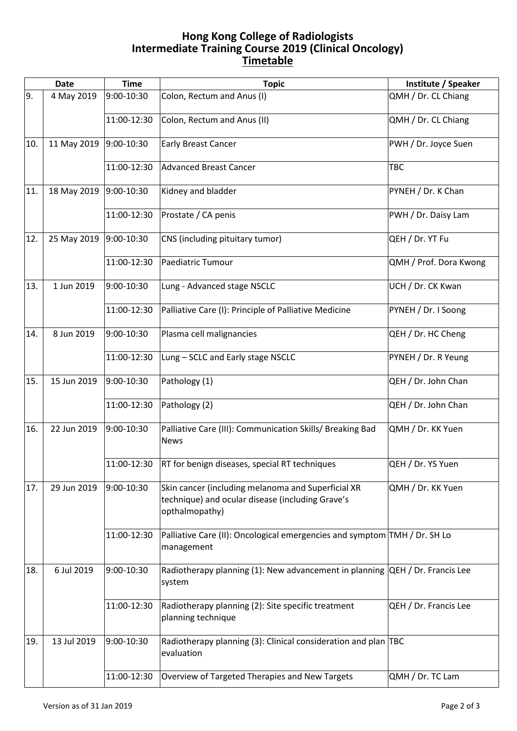## **Hong Kong College of Radiologists Intermediate Training Course 2019 (Clinical Oncology) Timetable**

|     | <b>Date</b> | <b>Time</b> | <b>Topic</b>                                                                                                             | Institute / Speaker    |
|-----|-------------|-------------|--------------------------------------------------------------------------------------------------------------------------|------------------------|
| 9.  | 4 May 2019  | 9:00-10:30  | Colon, Rectum and Anus (I)                                                                                               | QMH / Dr. CL Chiang    |
|     |             | 11:00-12:30 | Colon, Rectum and Anus (II)                                                                                              | QMH / Dr. CL Chiang    |
| 10. | 11 May 2019 | 9:00-10:30  | <b>Early Breast Cancer</b>                                                                                               | PWH / Dr. Joyce Suen   |
|     |             | 11:00-12:30 | <b>Advanced Breast Cancer</b>                                                                                            | <b>TBC</b>             |
| 11. | 18 May 2019 | 9:00-10:30  | Kidney and bladder                                                                                                       | PYNEH / Dr. K Chan     |
|     |             | 11:00-12:30 | Prostate / CA penis                                                                                                      | PWH / Dr. Daisy Lam    |
| 12. | 25 May 2019 | 9:00-10:30  | CNS (including pituitary tumor)                                                                                          | QEH / Dr. YT Fu        |
|     |             | 11:00-12:30 | Paediatric Tumour                                                                                                        | QMH / Prof. Dora Kwong |
| 13. | 1 Jun 2019  | 9:00-10:30  | Lung - Advanced stage NSCLC                                                                                              | UCH / Dr. CK Kwan      |
|     |             | 11:00-12:30 | Palliative Care (I): Principle of Palliative Medicine                                                                    | PYNEH / Dr. I Soong    |
| 14. | 8 Jun 2019  | 9:00-10:30  | Plasma cell malignancies                                                                                                 | QEH / Dr. HC Cheng     |
|     |             | 11:00-12:30 | Lung - SCLC and Early stage NSCLC                                                                                        | PYNEH / Dr. R Yeung    |
| 15. | 15 Jun 2019 | 9:00-10:30  | Pathology (1)                                                                                                            | QEH / Dr. John Chan    |
|     |             | 11:00-12:30 | Pathology (2)                                                                                                            | QEH / Dr. John Chan    |
| 16. | 22 Jun 2019 | 9:00-10:30  | Palliative Care (III): Communication Skills/ Breaking Bad<br><b>News</b>                                                 | QMH / Dr. KK Yuen      |
|     |             | 11:00-12:30 | <b>RT</b> for benign diseases, special RT techniques                                                                     | QEH / Dr. YS Yuen      |
| 17. | 29 Jun 2019 | 9:00-10:30  | Skin cancer (including melanoma and Superficial XR<br>technique) and ocular disease (including Grave's<br>opthalmopathy) | QMH / Dr. KK Yuen      |
|     |             | 11:00-12:30 | Palliative Care (II): Oncological emergencies and symptom TMH / Dr. SH Lo<br>management                                  |                        |
| 18. | 6 Jul 2019  | 9:00-10:30  | Radiotherapy planning (1): New advancement in planning QEH / Dr. Francis Lee<br>system                                   |                        |
|     |             | 11:00-12:30 | Radiotherapy planning (2): Site specific treatment<br>planning technique                                                 | QEH / Dr. Francis Lee  |
| 19. | 13 Jul 2019 | 9:00-10:30  | Radiotherapy planning (3): Clinical consideration and plan TBC<br>evaluation                                             |                        |
|     |             | 11:00-12:30 | Overview of Targeted Therapies and New Targets                                                                           | QMH / Dr. TC Lam       |